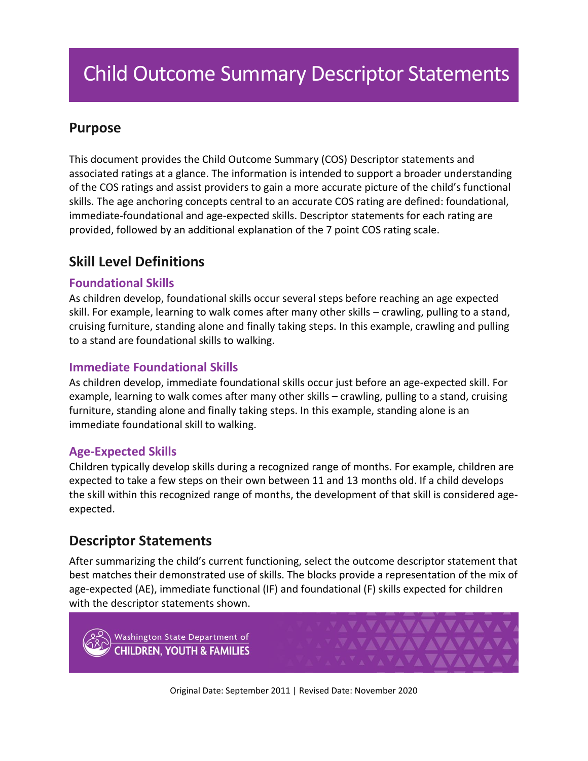# Child Outcome Summary Descriptor Statements

## **Purpose**

This document provides the Child Outcome Summary (COS) Descriptor statements and associated ratings at a glance. The information is intended to support a broader understanding of the COS ratings and assist providers to gain a more accurate picture of the child's functional skills. The age anchoring concepts central to an accurate COS rating are defined: foundational, immediate-foundational and age-expected skills. Descriptor statements for each rating are provided, followed by an additional explanation of the 7 point COS rating scale.

## **Skill Level Definitions**

#### **Foundational Skills**

As children develop, foundational skills occur several steps before reaching an age expected skill. For example, learning to walk comes after many other skills – crawling, pulling to a stand, cruising furniture, standing alone and finally taking steps. In this example, crawling and pulling to a stand are foundational skills to walking.

#### **Immediate Foundational Skills**

As children develop, immediate foundational skills occur just before an age-expected skill. For example, learning to walk comes after many other skills – crawling, pulling to a stand, cruising furniture, standing alone and finally taking steps. In this example, standing alone is an immediate foundational skill to walking.

#### **Age-Expected Skills**

Children typically develop skills during a recognized range of months. For example, children are expected to take a few steps on their own between 11 and 13 months old. If a child develops the skill within this recognized range of months, the development of that skill is considered ageexpected.

## **Descriptor Statements**

After summarizing the child's current functioning, select the outcome descriptor statement that best matches their demonstrated use of skills. The blocks provide a representation of the mix of age-expected (AE), immediate functional (IF) and foundational (F) skills expected for children with the descriptor statements shown.

Washington State Department of **CHILDREN, YOUTH & FAMILIES**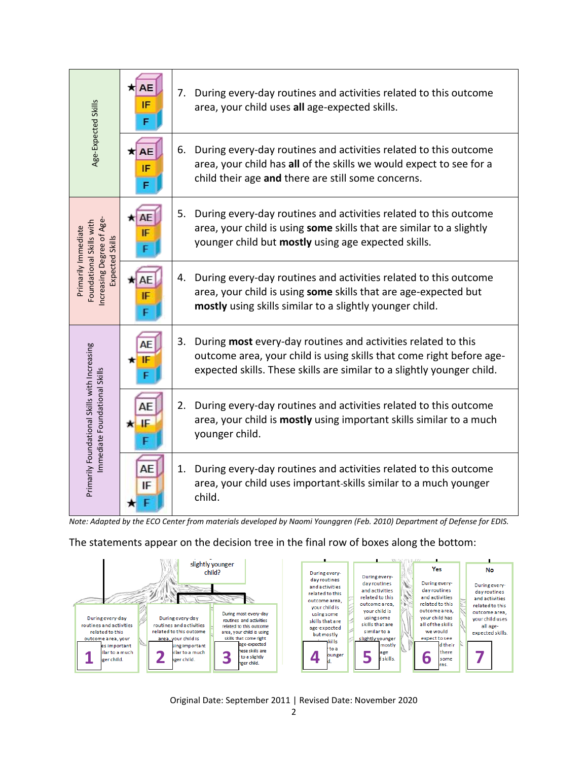| Age-Expected Skills                                                                            | AE<br>IF | During every-day routines and activities related to this outcome<br>7.<br>area, your child uses all age-expected skills.                                                                                              |
|------------------------------------------------------------------------------------------------|----------|-----------------------------------------------------------------------------------------------------------------------------------------------------------------------------------------------------------------------|
|                                                                                                | AЕ<br>IF | During every-day routines and activities related to this outcome<br>6.<br>area, your child has all of the skills we would expect to see for a<br>child their age and there are still some concerns.                   |
| ncreasing Degree of Age-<br>Foundational Skills with<br>Primarily Immediate<br>Expected Skills | IF       | During every-day routines and activities related to this outcome<br>5.<br>area, your child is using some skills that are similar to a slightly<br>younger child but mostly using age expected skills.                 |
|                                                                                                | ΔF<br>IF | During every-day routines and activities related to this outcome<br>4.<br>area, your child is using some skills that are age-expected but<br>mostly using skills similar to a slightly younger child.                 |
| Primarily Foundational Skills with Increasing<br>Immediate Foundational Skills                 |          | During most every-day routines and activities related to this<br>3.<br>outcome area, your child is using skills that come right before age-<br>expected skills. These skills are similar to a slightly younger child. |
|                                                                                                | AE<br>IE | During every-day routines and activities related to this outcome<br>2.<br>area, your child is mostly using important skills similar to a much<br>younger child.                                                       |
|                                                                                                | AF<br>IF | During every-day routines and activities related to this outcome<br>1.<br>area, your child uses important-skills similar to a much younger<br>child.                                                                  |

*Note: Adapted by the ECO Center from materials developed by Naomi Younggren (Feb. 2010) Department of Defense for EDIS.*

#### The statements appear on the decision tree in the final row of boxes along the bottom:



Original Date: September 2011 | Revised Date: November 2020